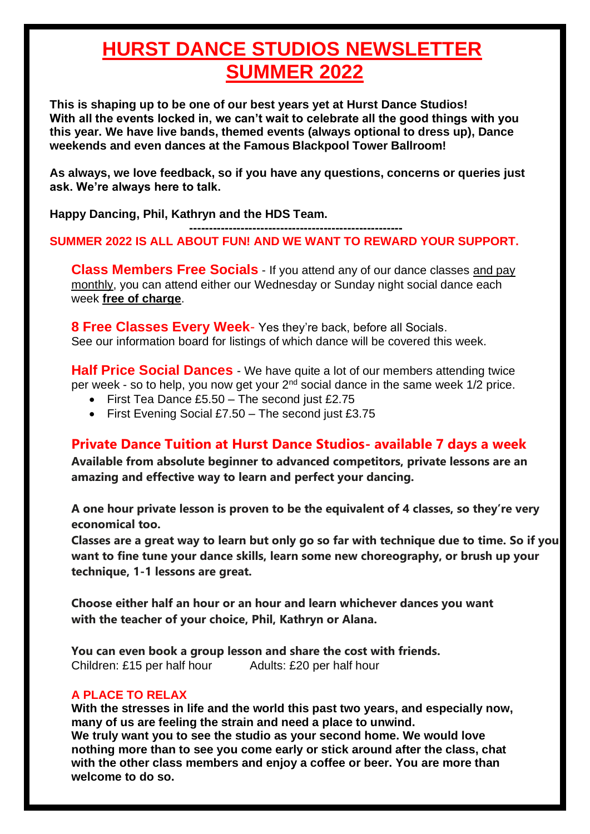## **HURST DANCE STUDIOS NEWSLETTER SUMMER 2022**

**This is shaping up to be one of our best years yet at Hurst Dance Studios! With all the events locked in, we can't wait to celebrate all the good things with you this year. We have live bands, themed events (always optional to dress up), Dance weekends and even dances at the Famous Blackpool Tower Ballroom!**

**As always, we love feedback, so if you have any questions, concerns or queries just ask. We're always here to talk.**

**Happy Dancing, Phil, Kathryn and the HDS Team.** 

#### **------------------------------------------------------ SUMMER 2022 IS ALL ABOUT FUN! AND WE WANT TO REWARD YOUR SUPPORT.**

**Class Members Free Socials** - If you attend any of our dance classes and pay monthly, you can attend either our Wednesday or Sunday night social dance each week **free of charge**.

**8 Free Classes Every Week**- Yes they're back, before all Socials. See our information board for listings of which dance will be covered this week.

**Half Price Social Dances** - We have quite a lot of our members attending twice per week - so to help, you now get your  $2<sup>nd</sup>$  social dance in the same week  $1/2$  price.

- First Tea Dance £5.50 The second just £2.75
- First Evening Social £7.50 The second just £3.75

#### **Private Dance Tuition at Hurst Dance Studios- available 7 days a week**

**Available from absolute beginner to advanced competitors, private lessons are an amazing and effective way to learn and perfect your dancing.**

**A one hour private lesson is proven to be the equivalent of 4 classes, so they're very economical too.**

**Classes are a great way to learn but only go so far with technique due to time. So if you want to fine tune your dance skills, learn some new choreography, or brush up your technique, 1-1 lessons are great.**

**Choose either half an hour or an hour and learn whichever dances you want with the teacher of your choice, Phil, Kathryn or Alana.**

**You can even book a group lesson and share the cost with friends.** Children: £15 per half hour Adults: £20 per half hour

#### **A PLACE TO RELAX**

**With the stresses in life and the world this past two years, and especially now, many of us are feeling the strain and need a place to unwind.**

**We truly want you to see the studio as your second home. We would love nothing more than to see you come early or stick around after the class, chat with the other class members and enjoy a coffee or beer. You are more than welcome to do so.**